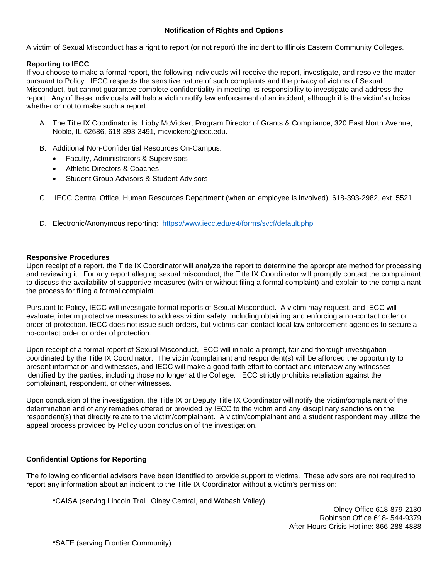# **Notification of Rights and Options**

A victim of Sexual Misconduct has a right to report (or not report) the incident to Illinois Eastern Community Colleges.

## **Reporting to IECC**

If you choose to make a formal report, the following individuals will receive the report, investigate, and resolve the matter pursuant to Policy. IECC respects the sensitive nature of such complaints and the privacy of victims of Sexual Misconduct, but cannot guarantee complete confidentiality in meeting its responsibility to investigate and address the report. Any of these individuals will help a victim notify law enforcement of an incident, although it is the victim's choice whether or not to make such a report.

- A. The Title IX Coordinator is: Libby McVicker, Program Director of Grants & Compliance, 320 East North Avenue, Noble, IL 62686, 618-393-3491, mcvickero@iecc.edu.
- B. Additional Non-Confidential Resources On-Campus:
	- Faculty, Administrators & Supervisors
	- Athletic Directors & Coaches
	- Student Group Advisors & Student Advisors
- C. IECC Central Office, Human Resources Department (when an employee is involved): 618-393-2982, ext. 5521
- D. Electronic/Anonymous reporting: [https://www.iecc.edu/e4/forms/svcf/default.php](https://my.iecc.edu/e4/forms/svcf/default.php)

### **Responsive Procedures**

Upon receipt of a report, the Title IX Coordinator will analyze the report to determine the appropriate method for processing and reviewing it. For any report alleging sexual misconduct, the Title IX Coordinator will promptly contact the complainant to discuss the availability of supportive measures (with or without filing a formal complaint) and explain to the complainant the process for filing a formal complaint.

Pursuant to Policy, IECC will investigate formal reports of Sexual Misconduct. A victim may request, and IECC will evaluate, interim protective measures to address victim safety, including obtaining and enforcing a no-contact order or order of protection. IECC does not issue such orders, but victims can contact local law enforcement agencies to secure a no-contact order or order of protection.

Upon receipt of a formal report of Sexual Misconduct, IECC will initiate a prompt, fair and thorough investigation coordinated by the Title IX Coordinator. The victim/complainant and respondent(s) will be afforded the opportunity to present information and witnesses, and IECC will make a good faith effort to contact and interview any witnesses identified by the parties, including those no longer at the College. IECC strictly prohibits retaliation against the complainant, respondent, or other witnesses.

Upon conclusion of the investigation, the Title IX or Deputy Title IX Coordinator will notify the victim/complainant of the determination and of any remedies offered or provided by IECC to the victim and any disciplinary sanctions on the respondent(s) that directly relate to the victim/complainant. A victim/complainant and a student respondent may utilize the appeal process provided by Policy upon conclusion of the investigation.

## **Confidential Options for Reporting**

The following confidential advisors have been identified to provide support to victims. These advisors are not required to report any information about an incident to the Title IX Coordinator without a victim's permission:

\*CAISA (serving Lincoln Trail, Olney Central, and Wabash Valley)

Olney Office 618-879-2130 Robinson Office 618- 544-9379 After-Hours Crisis Hotline: 866-288-4888

\*SAFE (serving Frontier Community)